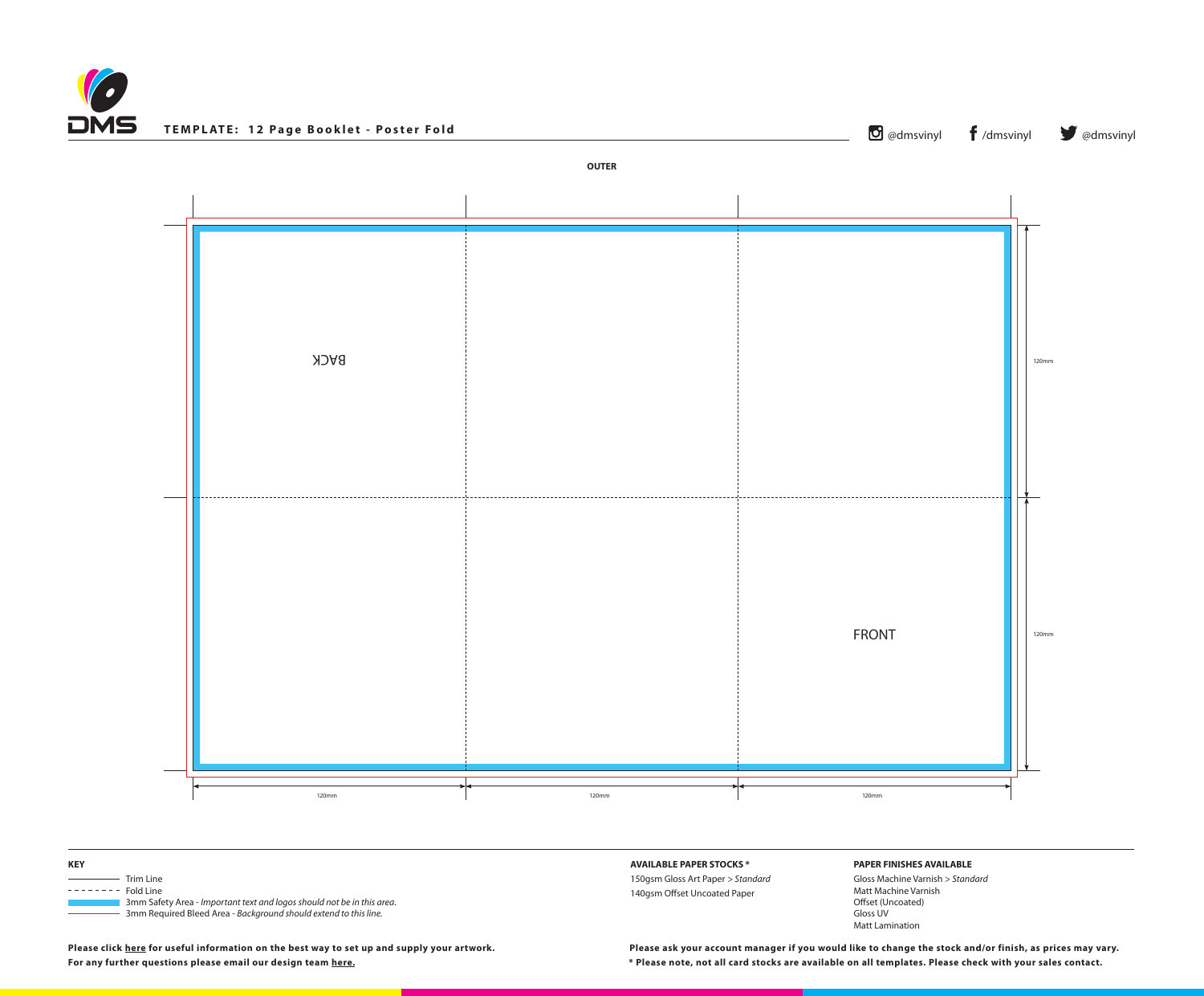**Please click [here](http://www.discmanufacturingservices.com/cd-templates.htm#artwork-specifications) for useful information on the best way to set up and supply your artwork. For any further questions please email our design team [here](mailto:graphics%40discmanufacturingservices.com?subject=Template%20Enquiry). \* Please note, not all card stocks are available on all templates. Please check with your sales contact.**

**Please ask your account manager if you would like to change the stock and/or finish, as prices may vary.**







## **PAPER FINISHES AVAILABLE**

Gloss Machine Varnish *> Standard* Matt Machine Varnish Offset (Uncoated) Gloss UV Matt Lamination